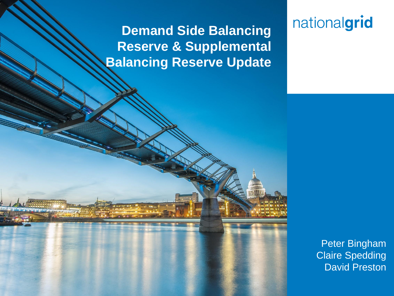### **Demand Side Balancing Reserve & Supplemental Balancing Reserve Update**

**Place your chosen image here. The four** 

## nationalgrid

Peter Bingham Claire Spedding David Preston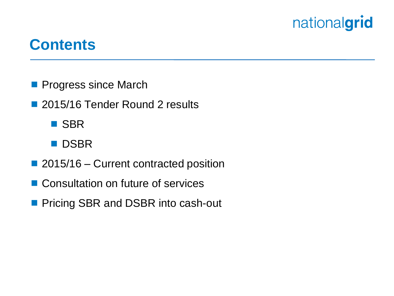### **Contents**

- **Progress since March**
- 2015/16 Tender Round 2 results
	- **B** SBR
	- **DSBR**
- 2015/16 Current contracted position
- Consultation on future of services
- **Pricing SBR and DSBR into cash-out**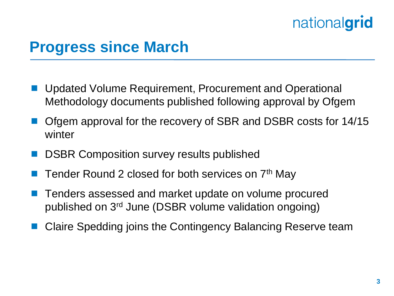## **Progress since March**

- Updated Volume Requirement, Procurement and Operational Methodology documents published following approval by Ofgem
- Ofgem approval for the recovery of SBR and DSBR costs for 14/15 winter
- DSBR Composition survey results published
- Tender Round 2 closed for both services on 7<sup>th</sup> May
- Tenders assessed and market update on volume procured published on 3rd June (DSBR volume validation ongoing)
- Claire Spedding joins the Contingency Balancing Reserve team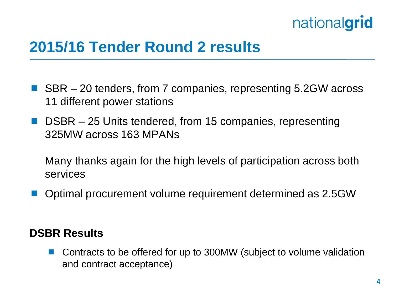

### **2015/16 Tender Round 2 results**

- SBR 20 tenders, from 7 companies, representing 5.2GW across 11 different power stations
- DSBR 25 Units tendered, from 15 companies, representing 325MW across 163 MPANs

Many thanks again for the high levels of participation across both services

Optimal procurement volume requirement determined as 2.5GW

#### **DSBR Results**

■ Contracts to be offered for up to 300MW (subject to volume validation and contract acceptance)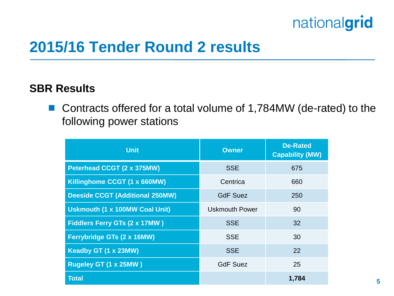

### **2015/16 Tender Round 2 results**

#### **SBR Results**

■ Contracts offered for a total volume of 1,784MW (de-rated) to the following power stations

| <b>Unit</b>                            | <b>Owner</b>          | <b>De-Rated</b><br><b>Capability (MW)</b> |
|----------------------------------------|-----------------------|-------------------------------------------|
| <b>Peterhead CCGT (2 x 375MW)</b>      | <b>SSE</b>            | 675                                       |
| Killinghome CCGT (1 x 660MW)           | Centrica              | 660                                       |
| <b>Deeside CCGT (Additional 250MW)</b> | <b>GdF Suez</b>       | 250                                       |
| <b>Uskmouth (1 x 100MW Coal Unit)</b>  | <b>Uskmouth Power</b> | 90                                        |
| <b>Fiddlers Ferry GTs (2 x 17MW)</b>   | <b>SSE</b>            | 32                                        |
| Ferrybridge GTs (2 x 16MW)             | <b>SSE</b>            | 30                                        |
| <b>Keadby GT (1 x 23MW)</b>            | <b>SSE</b>            | 22                                        |
| Rugeley GT (1 x 25MW)                  | <b>GdF Suez</b>       | 25                                        |
| <b>Total</b>                           |                       | 1,784                                     |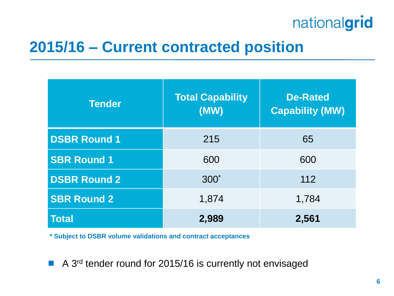### **2015/16 – Current contracted position**

| <b>Tender</b>       | <b>Total Capability</b><br>(MW) | <b>De-Rated</b><br><b>Capability (MW)</b> |
|---------------------|---------------------------------|-------------------------------------------|
| <b>DSBR Round 1</b> | 215                             | 65                                        |
| <b>SBR Round 1</b>  | 600                             | 600                                       |
| <b>DSBR Round 2</b> | $300^*$                         | 112                                       |
| <b>SBR Round 2</b>  | 1,874                           | 1,784                                     |
| <b>Total</b>        | 2,989                           | 2,561                                     |

**\* Subject to DSBR volume validations and contract acceptances**

■ A 3<sup>rd</sup> tender round for 2015/16 is currently not envisaged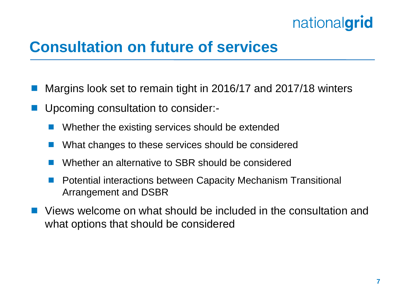## **Consultation on future of services**

- Margins look set to remain tight in 2016/17 and 2017/18 winters
- Upcoming consultation to consider:-
	- Whether the existing services should be extended
	- What changes to these services should be considered
	- Whether an alternative to SBR should be considered
	- Potential interactions between Capacity Mechanism Transitional Arrangement and DSBR
- Views welcome on what should be included in the consultation and what options that should be considered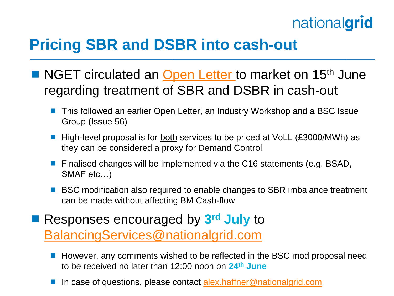## **Pricing SBR and DSBR into cash-out**

- NGET circulated an [Open Letter t](http://www2.nationalgrid.com/WorkArea/DownloadAsset.aspx?id=41433)o market on 15<sup>th</sup> June regarding treatment of SBR and DSBR in cash-out
	- This followed an earlier Open Letter, an Industry Workshop and a BSC Issue Group (Issue 56)
	- High-level proposal is for both services to be priced at VoLL (£3000/MWh) as they can be considered a proxy for Demand Control
	- **Finalised changes will be implemented via the C16 statements (e.g. BSAD,** SMAF etc…)
	- BSC modification also required to enable changes to SBR imbalance treatment can be made without affecting BM Cash-flow
- Responses encouraged by 3<sup>rd</sup> July to [BalancingServices@nationalgrid.com](mailto:BalancingServices@nationalgrid.com)
	- However, any comments wished to be reflected in the BSC mod proposal need to be received no later than 12:00 noon on **24th June**
	- In case of questions, please contact [alex.haffner@nationalgrid.com](mailto:alex.haffner@nationalgrid.com)